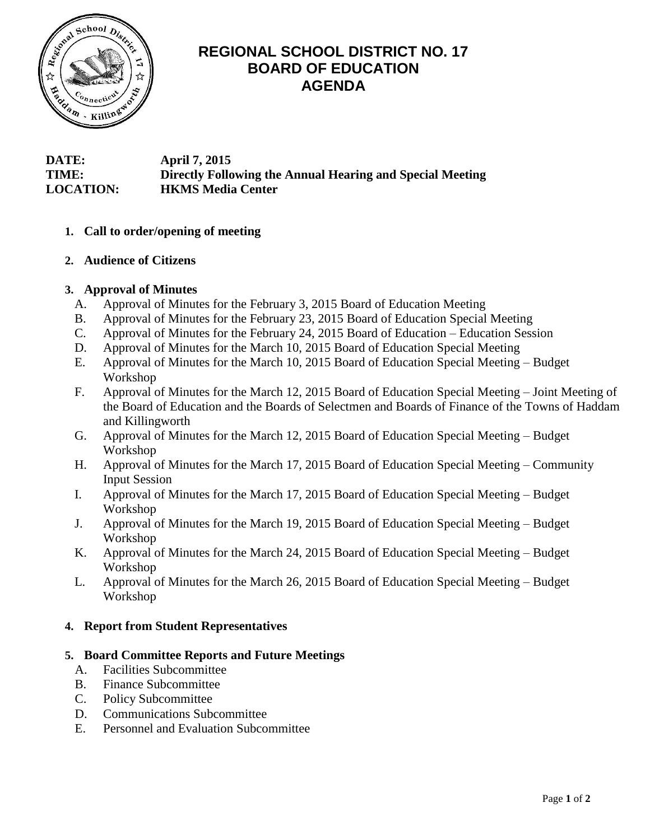

# **REGIONAL SCHOOL DISTRICT NO. 17 BOARD OF EDUCATION AGENDA**

**DATE: April 7, 2015 TIME: Directly Following the Annual Hearing and Special Meeting LOCATION: HKMS Media Center**

## **1. Call to order/opening of meeting**

## **2. Audience of Citizens**

## **3. Approval of Minutes**

- A. Approval of Minutes for the February 3, 2015 Board of Education Meeting
- B. Approval of Minutes for the February 23, 2015 Board of Education Special Meeting
- C. Approval of Minutes for the February 24, 2015 Board of Education Education Session
- D. Approval of Minutes for the March 10, 2015 Board of Education Special Meeting
- E. Approval of Minutes for the March 10, 2015 Board of Education Special Meeting Budget Workshop
- F. Approval of Minutes for the March 12, 2015 Board of Education Special Meeting Joint Meeting of the Board of Education and the Boards of Selectmen and Boards of Finance of the Towns of Haddam and Killingworth
- G. Approval of Minutes for the March 12, 2015 Board of Education Special Meeting Budget Workshop
- H. Approval of Minutes for the March 17, 2015 Board of Education Special Meeting Community Input Session
- I. Approval of Minutes for the March 17, 2015 Board of Education Special Meeting Budget Workshop
- J. Approval of Minutes for the March 19, 2015 Board of Education Special Meeting Budget Workshop
- K. Approval of Minutes for the March 24, 2015 Board of Education Special Meeting Budget Workshop
- L. Approval of Minutes for the March 26, 2015 Board of Education Special Meeting Budget Workshop

## **4. Report from Student Representatives**

## **5. Board Committee Reports and Future Meetings**

- A. Facilities Subcommittee
- B. Finance Subcommittee
- C. Policy Subcommittee
- D. Communications Subcommittee
- E. Personnel and Evaluation Subcommittee